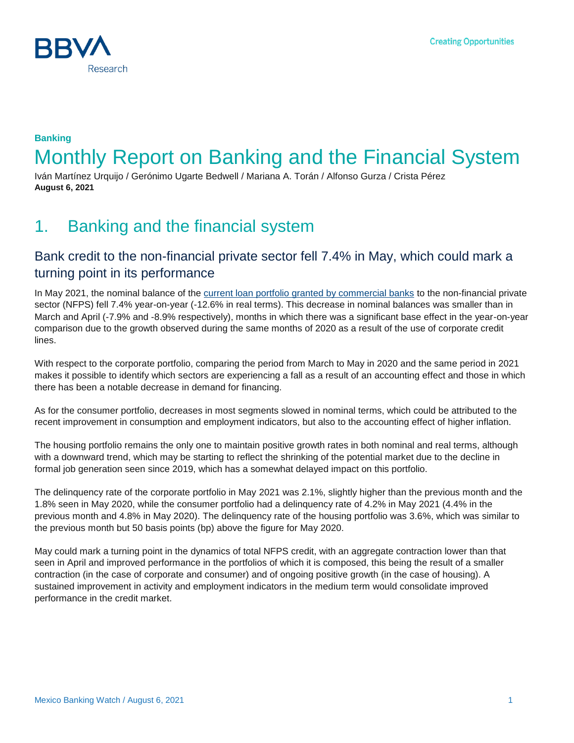

### **Banking** Monthly Report on Banking and the Financial System

Iván Martínez Urquijo / Gerónimo Ugarte Bedwell / Mariana A. Torán / Alfonso Gurza / Crista Pérez **August 6, 2021**

# 1. Banking and the financial system

#### Bank credit to the non-financial private sector fell 7.4% in May, which could mark a turning point in its performance

In May 2021, the nominal balance of the [current loan portfolio granted by commercial banks](https://www.bbvaresearch.com/publicaciones/mexico-en-mayo-el-credito-cayo-74-un-posible-punto-de-inflexion-en-su-desempeno/) to the non-financial private sector (NFPS) fell 7.4% year-on-year (-12.6% in real terms). This decrease in nominal balances was smaller than in March and April (-7.9% and -8.9% respectively), months in which there was a significant base effect in the year-on-year comparison due to the growth observed during the same months of 2020 as a result of the use of corporate credit lines.

With respect to the corporate portfolio, comparing the period from March to May in 2020 and the same period in 2021 makes it possible to identify which sectors are experiencing a fall as a result of an accounting effect and those in which there has been a notable decrease in demand for financing.

As for the consumer portfolio, decreases in most segments slowed in nominal terms, which could be attributed to the recent improvement in consumption and employment indicators, but also to the accounting effect of higher inflation.

The housing portfolio remains the only one to maintain positive growth rates in both nominal and real terms, although with a downward trend, which may be starting to reflect the shrinking of the potential market due to the decline in formal job generation seen since 2019, which has a somewhat delayed impact on this portfolio.

The delinquency rate of the corporate portfolio in May 2021 was 2.1%, slightly higher than the previous month and the 1.8% seen in May 2020, while the consumer portfolio had a delinquency rate of 4.2% in May 2021 (4.4% in the previous month and 4.8% in May 2020). The delinquency rate of the housing portfolio was 3.6%, which was similar to the previous month but 50 basis points (bp) above the figure for May 2020.

May could mark a turning point in the dynamics of total NFPS credit, with an aggregate contraction lower than that seen in April and improved performance in the portfolios of which it is composed, this being the result of a smaller contraction (in the case of corporate and consumer) and of ongoing positive growth (in the case of housing). A sustained improvement in activity and employment indicators in the medium term would consolidate improved performance in the credit market.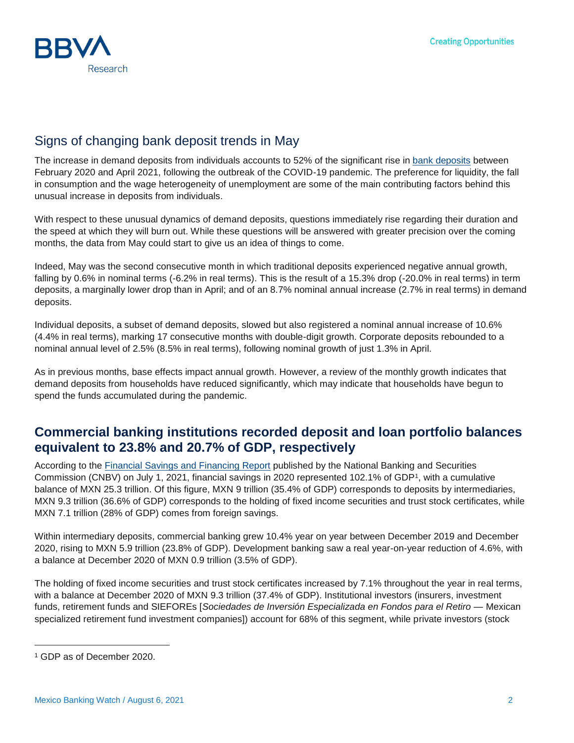

### Signs of changing bank deposit trends in May

The increase in demand deposits from individuals accounts to 52% of the significant rise in [bank deposits](https://www.bbvaresearch.com/publicaciones/mexico-senales-de-cambio-de-tendencia-en-la-dinamica-de-la-captacion-en-mayo/) between February 2020 and April 2021, following the outbreak of the COVID-19 pandemic. The preference for liquidity, the fall in consumption and the wage heterogeneity of unemployment are some of the main contributing factors behind this unusual increase in deposits from individuals.

With respect to these unusual dynamics of demand deposits, questions immediately rise regarding their duration and the speed at which they will burn out. While these questions will be answered with greater precision over the coming months, the data from May could start to give us an idea of things to come.

Indeed, May was the second consecutive month in which traditional deposits experienced negative annual growth, falling by 0.6% in nominal terms (-6.2% in real terms). This is the result of a 15.3% drop (-20.0% in real terms) in term deposits, a marginally lower drop than in April; and of an 8.7% nominal annual increase (2.7% in real terms) in demand deposits.

Individual deposits, a subset of demand deposits, slowed but also registered a nominal annual increase of 10.6% (4.4% in real terms), marking 17 consecutive months with double-digit growth. Corporate deposits rebounded to a nominal annual level of 2.5% (8.5% in real terms), following nominal growth of just 1.3% in April.

As in previous months, base effects impact annual growth. However, a review of the monthly growth indicates that demand deposits from households have reduced significantly, which may indicate that households have begun to spend the funds accumulated during the pandemic.

#### **Commercial banking institutions recorded deposit and loan portfolio balances equivalent to 23.8% and 20.7% of GDP, respectively**

According to the [Financial Savings and Financing Report](https://www.gob.mx/cms/uploads/attachment/file/649468/AFyFeM_DIC_2020.pdf) published by the National Banking and Securities Commission (CNBV) on July 1, 2021, financial savings in 2020 represented 102.1% of GDP<sup>1</sup>, with a cumulative balance of MXN 25.3 trillion. Of this figure, MXN 9 trillion (35.4% of GDP) corresponds to deposits by intermediaries, MXN 9.3 trillion (36.6% of GDP) corresponds to the holding of fixed income securities and trust stock certificates, while MXN 7.1 trillion (28% of GDP) comes from foreign savings.

Within intermediary deposits, commercial banking grew 10.4% year on year between December 2019 and December 2020, rising to MXN 5.9 trillion (23.8% of GDP). Development banking saw a real year-on-year reduction of 4.6%, with a balance at December 2020 of MXN 0.9 trillion (3.5% of GDP).

The holding of fixed income securities and trust stock certificates increased by 7.1% throughout the year in real terms, with a balance at December 2020 of MXN 9.3 trillion (37.4% of GDP). Institutional investors (insurers, investment funds, retirement funds and SIEFOREs [*Sociedades de Inversión Especializada en Fondos para el Retiro* — Mexican specialized retirement fund investment companies]) account for 68% of this segment, while private investors (stock

l

<sup>1</sup> GDP as of December 2020.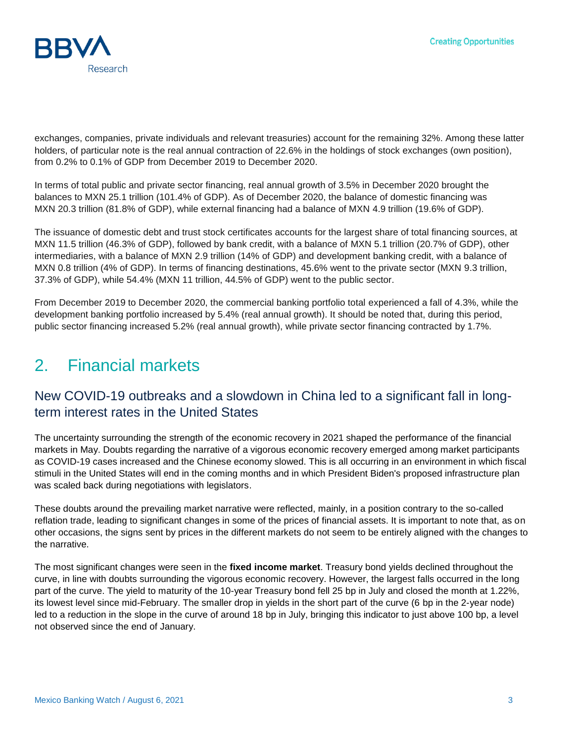

exchanges, companies, private individuals and relevant treasuries) account for the remaining 32%. Among these latter holders, of particular note is the real annual contraction of 22.6% in the holdings of stock exchanges (own position), from 0.2% to 0.1% of GDP from December 2019 to December 2020.

In terms of total public and private sector financing, real annual growth of 3.5% in December 2020 brought the balances to MXN 25.1 trillion (101.4% of GDP). As of December 2020, the balance of domestic financing was MXN 20.3 trillion (81.8% of GDP), while external financing had a balance of MXN 4.9 trillion (19.6% of GDP).

The issuance of domestic debt and trust stock certificates accounts for the largest share of total financing sources, at MXN 11.5 trillion (46.3% of GDP), followed by bank credit, with a balance of MXN 5.1 trillion (20.7% of GDP), other intermediaries, with a balance of MXN 2.9 trillion (14% of GDP) and development banking credit, with a balance of MXN 0.8 trillion (4% of GDP). In terms of financing destinations, 45.6% went to the private sector (MXN 9.3 trillion, 37.3% of GDP), while 54.4% (MXN 11 trillion, 44.5% of GDP) went to the public sector.

From December 2019 to December 2020, the commercial banking portfolio total experienced a fall of 4.3%, while the development banking portfolio increased by 5.4% (real annual growth). It should be noted that, during this period, public sector financing increased 5.2% (real annual growth), while private sector financing contracted by 1.7%.

# 2. Financial markets

### New COVID-19 outbreaks and a slowdown in China led to a significant fall in longterm interest rates in the United States

The uncertainty surrounding the strength of the economic recovery in 2021 shaped the performance of the financial markets in May. Doubts regarding the narrative of a vigorous economic recovery emerged among market participants as COVID-19 cases increased and the Chinese economy slowed. This is all occurring in an environment in which fiscal stimuli in the United States will end in the coming months and in which President Biden's proposed infrastructure plan was scaled back during negotiations with legislators.

These doubts around the prevailing market narrative were reflected, mainly, in a position contrary to the so-called reflation trade, leading to significant changes in some of the prices of financial assets. It is important to note that, as on other occasions, the signs sent by prices in the different markets do not seem to be entirely aligned with the changes to the narrative.

The most significant changes were seen in the **fixed income market**. Treasury bond yields declined throughout the curve, in line with doubts surrounding the vigorous economic recovery. However, the largest falls occurred in the long part of the curve. The yield to maturity of the 10-year Treasury bond fell 25 bp in July and closed the month at 1.22%, its lowest level since mid-February. The smaller drop in yields in the short part of the curve (6 bp in the 2-year node) led to a reduction in the slope in the curve of around 18 bp in July, bringing this indicator to just above 100 bp, a level not observed since the end of January.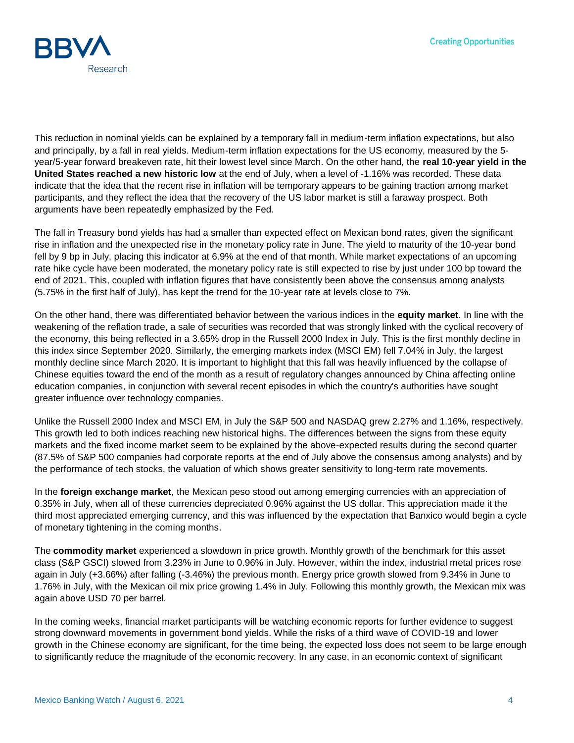

This reduction in nominal yields can be explained by a temporary fall in medium-term inflation expectations, but also and principally, by a fall in real yields. Medium-term inflation expectations for the US economy, measured by the 5 year/5-year forward breakeven rate, hit their lowest level since March. On the other hand, the **real 10-year yield in the United States reached a new historic low** at the end of July, when a level of -1.16% was recorded. These data indicate that the idea that the recent rise in inflation will be temporary appears to be gaining traction among market participants, and they reflect the idea that the recovery of the US labor market is still a faraway prospect. Both arguments have been repeatedly emphasized by the Fed.

The fall in Treasury bond yields has had a smaller than expected effect on Mexican bond rates, given the significant rise in inflation and the unexpected rise in the monetary policy rate in June. The yield to maturity of the 10-year bond fell by 9 bp in July, placing this indicator at 6.9% at the end of that month. While market expectations of an upcoming rate hike cycle have been moderated, the monetary policy rate is still expected to rise by just under 100 bp toward the end of 2021. This, coupled with inflation figures that have consistently been above the consensus among analysts (5.75% in the first half of July), has kept the trend for the 10-year rate at levels close to 7%.

On the other hand, there was differentiated behavior between the various indices in the **equity market**. In line with the weakening of the reflation trade, a sale of securities was recorded that was strongly linked with the cyclical recovery of the economy, this being reflected in a 3.65% drop in the Russell 2000 Index in July. This is the first monthly decline in this index since September 2020. Similarly, the emerging markets index (MSCI EM) fell 7.04% in July, the largest monthly decline since March 2020. It is important to highlight that this fall was heavily influenced by the collapse of Chinese equities toward the end of the month as a result of regulatory changes announced by China affecting online education companies, in conjunction with several recent episodes in which the country's authorities have sought greater influence over technology companies.

Unlike the Russell 2000 Index and MSCI EM, in July the S&P 500 and NASDAQ grew 2.27% and 1.16%, respectively. This growth led to both indices reaching new historical highs. The differences between the signs from these equity markets and the fixed income market seem to be explained by the above-expected results during the second quarter (87.5% of S&P 500 companies had corporate reports at the end of July above the consensus among analysts) and by the performance of tech stocks, the valuation of which shows greater sensitivity to long-term rate movements.

In the **foreign exchange market**, the Mexican peso stood out among emerging currencies with an appreciation of 0.35% in July, when all of these currencies depreciated 0.96% against the US dollar. This appreciation made it the third most appreciated emerging currency, and this was influenced by the expectation that Banxico would begin a cycle of monetary tightening in the coming months.

The **commodity market** experienced a slowdown in price growth. Monthly growth of the benchmark for this asset class (S&P GSCI) slowed from 3.23% in June to 0.96% in July. However, within the index, industrial metal prices rose again in July (+3.66%) after falling (-3.46%) the previous month. Energy price growth slowed from 9.34% in June to 1.76% in July, with the Mexican oil mix price growing 1.4% in July. Following this monthly growth, the Mexican mix was again above USD 70 per barrel.

In the coming weeks, financial market participants will be watching economic reports for further evidence to suggest strong downward movements in government bond yields. While the risks of a third wave of COVID-19 and lower growth in the Chinese economy are significant, for the time being, the expected loss does not seem to be large enough to significantly reduce the magnitude of the economic recovery. In any case, in an economic context of significant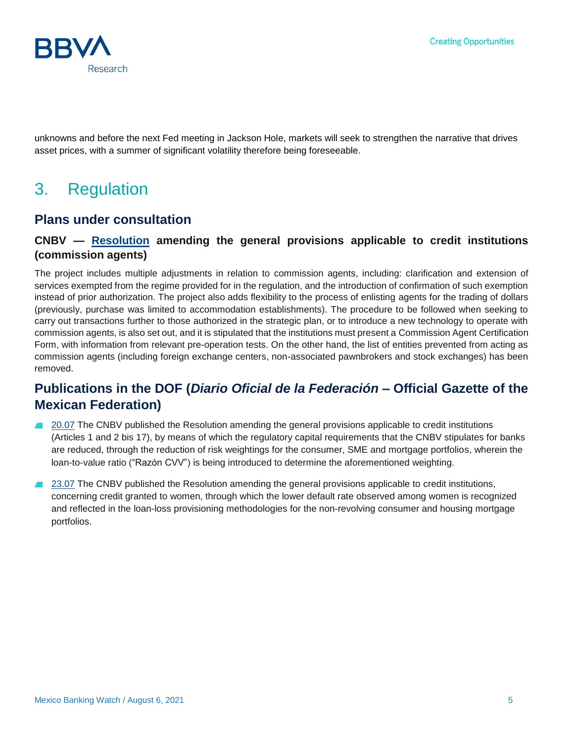

unknowns and before the next Fed meeting in Jackson Hole, markets will seek to strengthen the narrative that drives asset prices, with a summer of significant volatility therefore being foreseeable.

# 3. Regulation

#### **Plans under consultation**

#### **CNBV — [Resolution](https://www.google.com/url?q=https://www.cofemersimir.gob.mx/portales/resumen/52017&sa=D&source=editors&ust=1628016175923000&usg=AOvVaw0IEMGY0crLSzajEcAaSttM) amending the general provisions applicable to credit institutions (commission agents)**

The project includes multiple adjustments in relation to commission agents, including: clarification and extension of services exempted from the regime provided for in the regulation, and the introduction of confirmation of such exemption instead of prior authorization. The project also adds flexibility to the process of enlisting agents for the trading of dollars (previously, purchase was limited to accommodation establishments). The procedure to be followed when seeking to carry out transactions further to those authorized in the strategic plan, or to introduce a new technology to operate with commission agents, is also set out, and it is stipulated that the institutions must present a Commission Agent Certification Form, with information from relevant pre-operation tests. On the other hand, the list of entities prevented from acting as commission agents (including foreign exchange centers, non-associated pawnbrokers and stock exchanges) has been removed.

### **Publications in the DOF (***Diario Oficial de la Federación* **– Official Gazette of the Mexican Federation)**

- [20.07](https://www.dof.gob.mx/nota_detalle.php?codigo=5624314&fecha=20/07/2021) The CNBV published the Resolution amending the general provisions applicable to credit institutions (Articles 1 and 2 bis 17), by means of which the regulatory capital requirements that the CNBV stipulates for banks are reduced, through the reduction of risk weightings for the consumer, SME and mortgage portfolios, wherein the loan-to-value ratio ("Razón CVV") is being introduced to determine the aforementioned weighting.
- [23.07](https://www.dof.gob.mx/nota_detalle.php?codigo=5624744&fecha=23/07/2021) The CNBV published the Resolution amending the general provisions applicable to credit institutions, **Alla** concerning credit granted to women, through which the lower default rate observed among women is recognized and reflected in the loan-loss provisioning methodologies for the non-revolving consumer and housing mortgage portfolios.